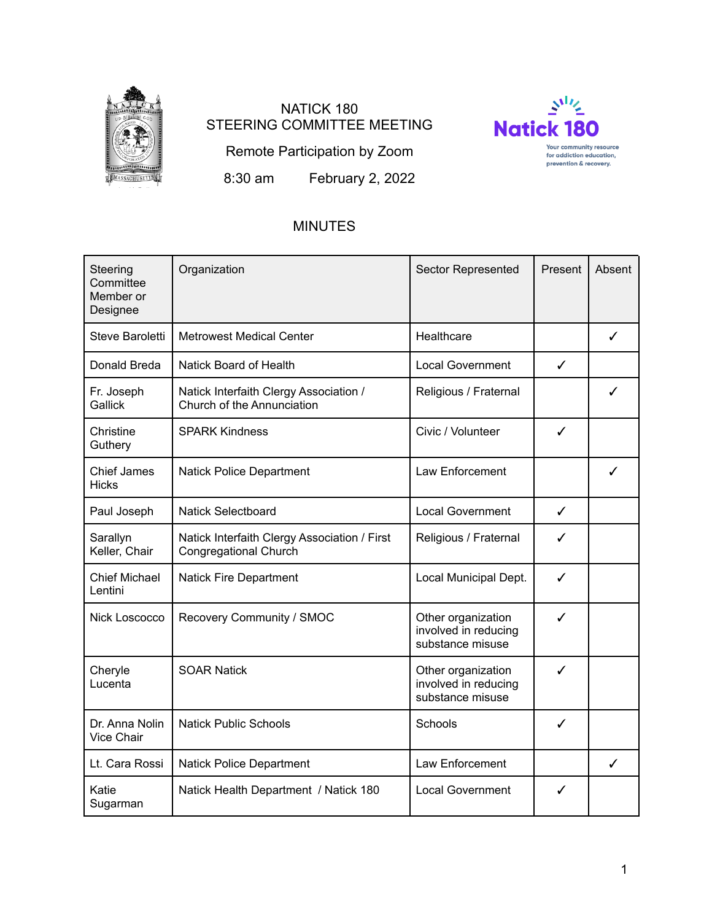

# NATICK 180 STEERING COMMITTEE MEETING



Remote Participation by Zoom

8:30 am February 2, 2022

# MINUTES

| Steering<br>Committee<br>Member or<br>Designee | Organization                                                                 | <b>Sector Represented</b>                                      | Present      | Absent |
|------------------------------------------------|------------------------------------------------------------------------------|----------------------------------------------------------------|--------------|--------|
| Steve Baroletti                                | <b>Metrowest Medical Center</b>                                              | Healthcare                                                     |              | ✓      |
| Donald Breda                                   | Natick Board of Health                                                       | <b>Local Government</b>                                        | ✓            |        |
| Fr. Joseph<br>Gallick                          | Natick Interfaith Clergy Association /<br>Church of the Annunciation         | Religious / Fraternal                                          |              | ✓      |
| Christine<br>Guthery                           | <b>SPARK Kindness</b>                                                        | Civic / Volunteer                                              | ✓            |        |
| <b>Chief James</b><br><b>Hicks</b>             | <b>Natick Police Department</b>                                              | Law Enforcement                                                |              | ✓      |
| Paul Joseph                                    | <b>Natick Selectboard</b>                                                    | <b>Local Government</b>                                        | $\checkmark$ |        |
| Sarallyn<br>Keller, Chair                      | Natick Interfaith Clergy Association / First<br><b>Congregational Church</b> | Religious / Fraternal                                          | ✓            |        |
| <b>Chief Michael</b><br>Lentini                | <b>Natick Fire Department</b>                                                | Local Municipal Dept.                                          | ✓            |        |
| Nick Loscocco                                  | Recovery Community / SMOC                                                    | Other organization<br>involved in reducing<br>substance misuse | ✓            |        |
| Cheryle<br>Lucenta                             | <b>SOAR Natick</b>                                                           | Other organization<br>involved in reducing<br>substance misuse | ✓            |        |
| Dr. Anna Nolin<br>Vice Chair                   | <b>Natick Public Schools</b>                                                 | Schools                                                        | ✓            |        |
| Lt. Cara Rossi                                 | <b>Natick Police Department</b>                                              | Law Enforcement                                                |              | ✓      |
| Katie<br>Sugarman                              | Natick Health Department / Natick 180                                        | <b>Local Government</b>                                        | ✓            |        |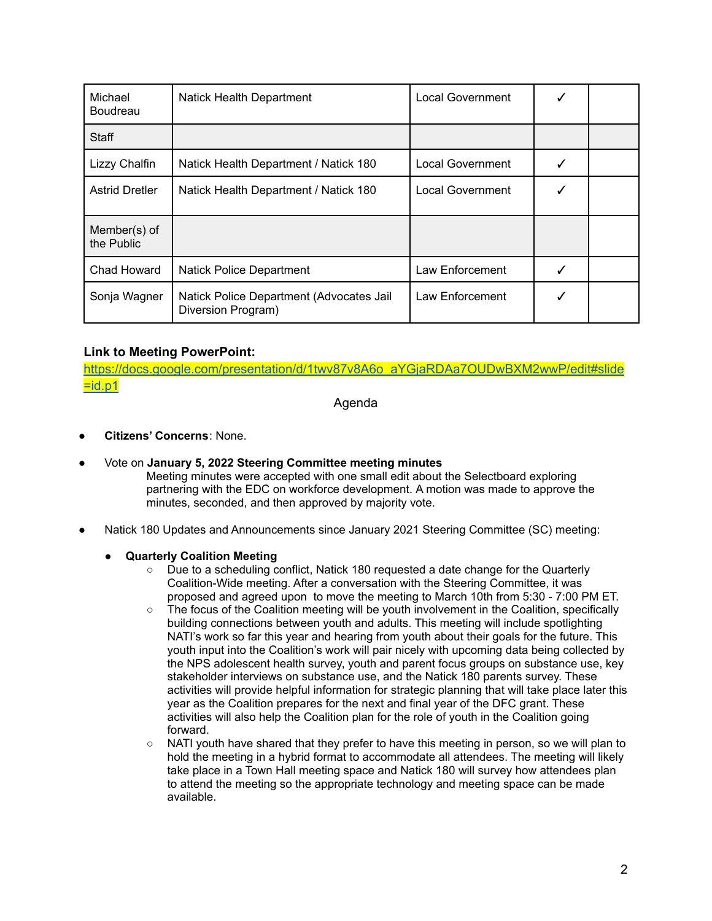| Michael<br><b>Boudreau</b> | Natick Health Department                                       | <b>Local Government</b> |  |
|----------------------------|----------------------------------------------------------------|-------------------------|--|
| Staff                      |                                                                |                         |  |
| Lizzy Chalfin              | Natick Health Department / Natick 180                          | Local Government        |  |
| <b>Astrid Dretler</b>      | Natick Health Department / Natick 180                          | <b>Local Government</b> |  |
| Member(s) of<br>the Public |                                                                |                         |  |
| Chad Howard                | <b>Natick Police Department</b>                                | Law Enforcement         |  |
| Sonja Wagner               | Natick Police Department (Advocates Jail<br>Diversion Program) | Law Enforcement         |  |

# **Link to Meeting PowerPoint:**

[https://docs.google.com/presentation/d/1twv87v8A6o\\_aYGjaRDAa7OUDwBXM2wwP/edit#slide](https://docs.google.com/presentation/d/1twv87v8A6o_aYGjaRDAa7OUDwBXM2wwP/edit#slide=id.p1)  $=$ id.p1

Agenda

- **Citizens' Concerns**: None.
- Vote on **January 5, 2022 Steering Committee meeting minutes**
	- Meeting minutes were accepted with one small edit about the Selectboard exploring partnering with the EDC on workforce development. A motion was made to approve the minutes, seconded, and then approved by majority vote.
- Natick 180 Updates and Announcements since January 2021 Steering Committee (SC) meeting:
	- **Quarterly Coalition Meeting**
		- Due to a scheduling conflict, Natick 180 requested a date change for the Quarterly Coalition-Wide meeting. After a conversation with the Steering Committee, it was proposed and agreed upon to move the meeting to March 10th from 5:30 - 7:00 PM ET.
		- The focus of the Coalition meeting will be youth involvement in the Coalition, specifically building connections between youth and adults. This meeting will include spotlighting NATI's work so far this year and hearing from youth about their goals for the future. This youth input into the Coalition's work will pair nicely with upcoming data being collected by the NPS adolescent health survey, youth and parent focus groups on substance use, key stakeholder interviews on substance use, and the Natick 180 parents survey. These activities will provide helpful information for strategic planning that will take place later this year as the Coalition prepares for the next and final year of the DFC grant. These activities will also help the Coalition plan for the role of youth in the Coalition going forward.
		- NATI youth have shared that they prefer to have this meeting in person, so we will plan to hold the meeting in a hybrid format to accommodate all attendees. The meeting will likely take place in a Town Hall meeting space and Natick 180 will survey how attendees plan to attend the meeting so the appropriate technology and meeting space can be made available.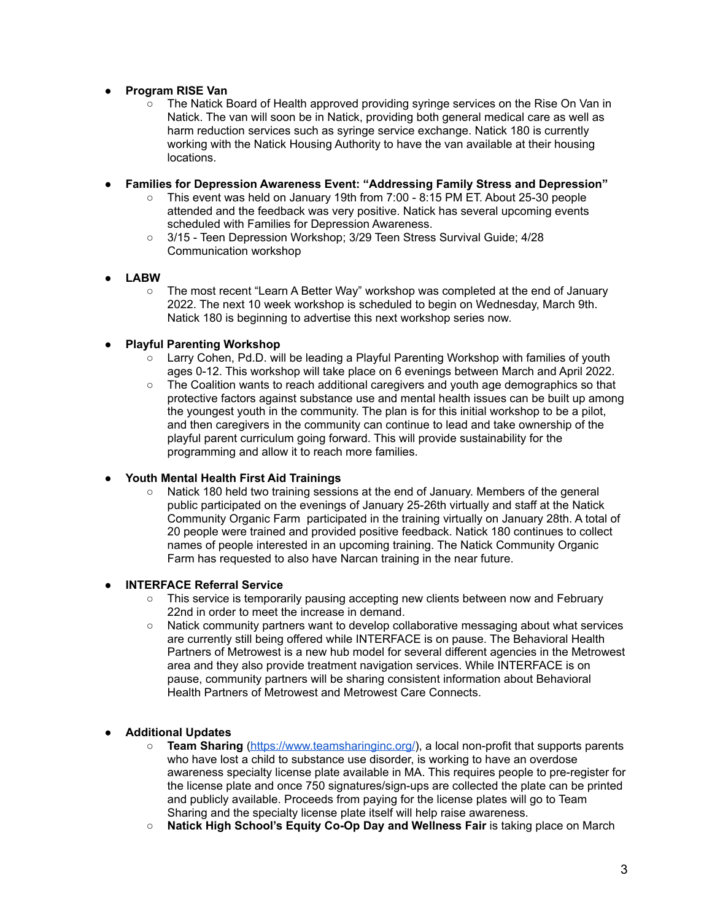# **● Program RISE Van**

○ The Natick Board of Health approved providing syringe services on the Rise On Van in Natick. The van will soon be in Natick, providing both general medical care as well as harm reduction services such as syringe service exchange. Natick 180 is currently working with the Natick Housing Authority to have the van available at their housing locations.

# ● **Families for Depression Awareness Event: "Addressing Family Stress and Depression"**

- This event was held on January 19th from 7:00 8:15 PM ET. About 25-30 people attended and the feedback was very positive. Natick has several upcoming events scheduled with Families for Depression Awareness.
- 3/15 Teen Depression Workshop; 3/29 Teen Stress Survival Guide; 4/28 Communication workshop

# ● **LABW**

○ The most recent "Learn A Better Way" workshop was completed at the end of January 2022. The next 10 week workshop is scheduled to begin on Wednesday, March 9th. Natick 180 is beginning to advertise this next workshop series now.

# ● **Playful Parenting Workshop**

- $\circ$  Larry Cohen, Pd.D. will be leading a Playful Parenting Workshop with families of youth ages 0-12. This workshop will take place on 6 evenings between March and April 2022.
- The Coalition wants to reach additional caregivers and youth age demographics so that protective factors against substance use and mental health issues can be built up among the youngest youth in the community. The plan is for this initial workshop to be a pilot, and then caregivers in the community can continue to lead and take ownership of the playful parent curriculum going forward. This will provide sustainability for the programming and allow it to reach more families.

## **● Youth Mental Health First Aid Trainings**

Natick 180 held two training sessions at the end of January. Members of the general public participated on the evenings of January 25-26th virtually and staff at the Natick Community Organic Farm participated in the training virtually on January 28th. A total of 20 people were trained and provided positive feedback. Natick 180 continues to collect names of people interested in an upcoming training. The Natick Community Organic Farm has requested to also have Narcan training in the near future.

# ● **INTERFACE Referral Service**

- $\circ$  This service is temporarily pausing accepting new clients between now and February 22nd in order to meet the increase in demand.
- Natick community partners want to develop collaborative messaging about what services are currently still being offered while INTERFACE is on pause. The Behavioral Health Partners of Metrowest is a new hub model for several different agencies in the Metrowest area and they also provide treatment navigation services. While INTERFACE is on pause, community partners will be sharing consistent information about Behavioral Health Partners of Metrowest and Metrowest Care Connects.

# ● **Additional Updates**

- **Team Sharing** [\(https://www.teamsharinginc.org/](https://www.teamsharinginc.org/)), a local non-profit that supports parents who have lost a child to substance use disorder, is working to have an overdose awareness specialty license plate available in MA. This requires people to pre-register for the license plate and once 750 signatures/sign-ups are collected the plate can be printed and publicly available. Proceeds from paying for the license plates will go to Team Sharing and the specialty license plate itself will help raise awareness.
- **Natick High School's Equity Co-Op Day and Wellness Fair** is taking place on March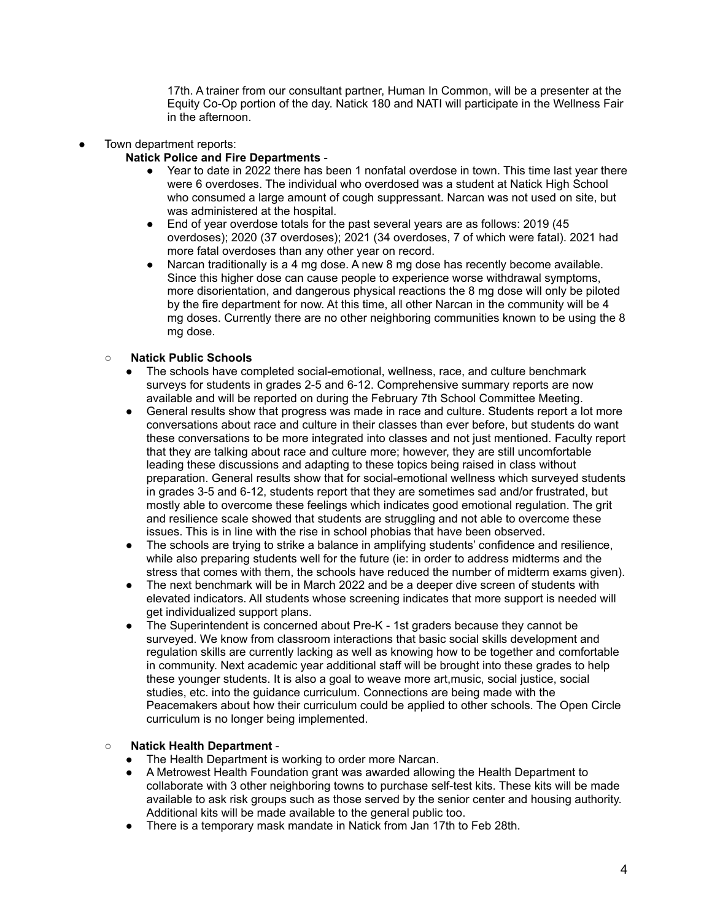17th. A trainer from our consultant partner, Human In Common, will be a presenter at the Equity Co-Op portion of the day. Natick 180 and NATI will participate in the Wellness Fair in the afternoon.

- Town department reports:
	- **Natick Police and Fire Departments**
		- Year to date in 2022 there has been 1 nonfatal overdose in town. This time last year there were 6 overdoses. The individual who overdosed was a student at Natick High School who consumed a large amount of cough suppressant. Narcan was not used on site, but was administered at the hospital.
		- End of year overdose totals for the past several years are as follows: 2019 (45) overdoses); 2020 (37 overdoses); 2021 (34 overdoses, 7 of which were fatal). 2021 had more fatal overdoses than any other year on record.
		- Narcan traditionally is a 4 mg dose. A new 8 mg dose has recently become available. Since this higher dose can cause people to experience worse withdrawal symptoms, more disorientation, and dangerous physical reactions the 8 mg dose will only be piloted by the fire department for now. At this time, all other Narcan in the community will be 4 mg doses. Currently there are no other neighboring communities known to be using the 8 mg dose.

# ○ **Natick Public Schools**

- The schools have completed social-emotional, wellness, race, and culture benchmark surveys for students in grades 2-5 and 6-12. Comprehensive summary reports are now available and will be reported on during the February 7th School Committee Meeting.
- General results show that progress was made in race and culture. Students report a lot more conversations about race and culture in their classes than ever before, but students do want these conversations to be more integrated into classes and not just mentioned. Faculty report that they are talking about race and culture more; however, they are still uncomfortable leading these discussions and adapting to these topics being raised in class without preparation. General results show that for social-emotional wellness which surveyed students in grades 3-5 and 6-12, students report that they are sometimes sad and/or frustrated, but mostly able to overcome these feelings which indicates good emotional regulation. The grit and resilience scale showed that students are struggling and not able to overcome these issues. This is in line with the rise in school phobias that have been observed.
- The schools are trying to strike a balance in amplifying students' confidence and resilience, while also preparing students well for the future (ie: in order to address midterms and the stress that comes with them, the schools have reduced the number of midterm exams given).
- The next benchmark will be in March 2022 and be a deeper dive screen of students with elevated indicators. All students whose screening indicates that more support is needed will get individualized support plans.
- The Superintendent is concerned about Pre-K 1st graders because they cannot be surveyed. We know from classroom interactions that basic social skills development and regulation skills are currently lacking as well as knowing how to be together and comfortable in community. Next academic year additional staff will be brought into these grades to help these younger students. It is also a goal to weave more art,music, social justice, social studies, etc. into the guidance curriculum. Connections are being made with the Peacemakers about how their curriculum could be applied to other schools. The Open Circle curriculum is no longer being implemented.

## **○ Natick Health Department** -

- The Health Department is working to order more Narcan.
- A Metrowest Health Foundation grant was awarded allowing the Health Department to collaborate with 3 other neighboring towns to purchase self-test kits. These kits will be made available to ask risk groups such as those served by the senior center and housing authority. Additional kits will be made available to the general public too.
- There is a temporary mask mandate in Natick from Jan 17th to Feb 28th.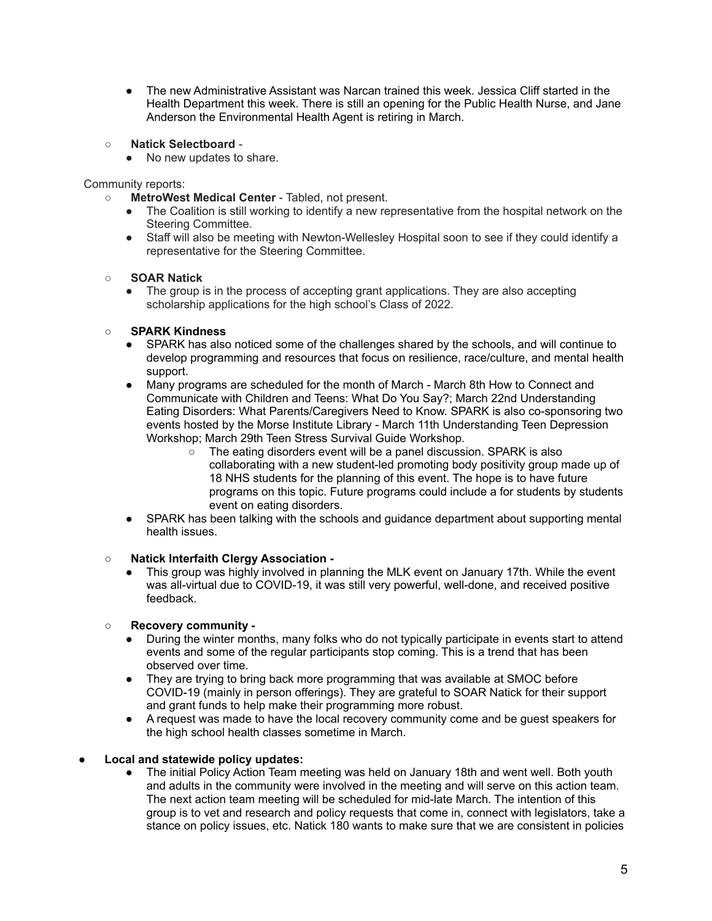- The new Administrative Assistant was Narcan trained this week. Jessica Cliff started in the Health Department this week. There is still an opening for the Public Health Nurse, and Jane Anderson the Environmental Health Agent is retiring in March.
- **Natick Selectboard**
	- No new updates to share.

Community reports:

- **MetroWest Medical Center** Tabled, not present.
	- The Coalition is still working to identify a new representative from the hospital network on the Steering Committee.
	- Staff will also be meeting with Newton-Wellesley Hospital soon to see if they could identify a representative for the Steering Committee.

#### ○ **SOAR Natick**

• The group is in the process of accepting grant applications. They are also accepting scholarship applications for the high school's Class of 2022.

#### ○ **SPARK Kindness**

- SPARK has also noticed some of the challenges shared by the schools, and will continue to develop programming and resources that focus on resilience, race/culture, and mental health support.
- Many programs are scheduled for the month of March March 8th How to Connect and Communicate with Children and Teens: What Do You Say?; March 22nd Understanding Eating Disorders: What Parents/Caregivers Need to Know. SPARK is also co-sponsoring two events hosted by the Morse Institute Library - March 11th Understanding Teen Depression Workshop; March 29th Teen Stress Survival Guide Workshop.
	- $\circ$  The eating disorders event will be a panel discussion. SPARK is also collaborating with a new student-led promoting body positivity group made up of 18 NHS students for the planning of this event. The hope is to have future programs on this topic. Future programs could include a for students by students event on eating disorders.
- SPARK has been talking with the schools and guidance department about supporting mental health issues.

#### ○ **Natick Interfaith Clergy Association -**

This group was highly involved in planning the MLK event on January 17th. While the event was all-virtual due to COVID-19, it was still very powerful, well-done, and received positive feedback.

## ○ **Recovery community -**

- During the winter months, many folks who do not typically participate in events start to attend events and some of the regular participants stop coming. This is a trend that has been observed over time.
- They are trying to bring back more programming that was available at SMOC before COVID-19 (mainly in person offerings). They are grateful to SOAR Natick for their support and grant funds to help make their programming more robust.
- A request was made to have the local recovery community come and be guest speakers for the high school health classes sometime in March.

## **● Local and statewide policy updates:**

**●** The initial Policy Action Team meeting was held on January 18th and went well. Both youth and adults in the community were involved in the meeting and will serve on this action team. The next action team meeting will be scheduled for mid-late March. The intention of this group is to vet and research and policy requests that come in, connect with legislators, take a stance on policy issues, etc. Natick 180 wants to make sure that we are consistent in policies